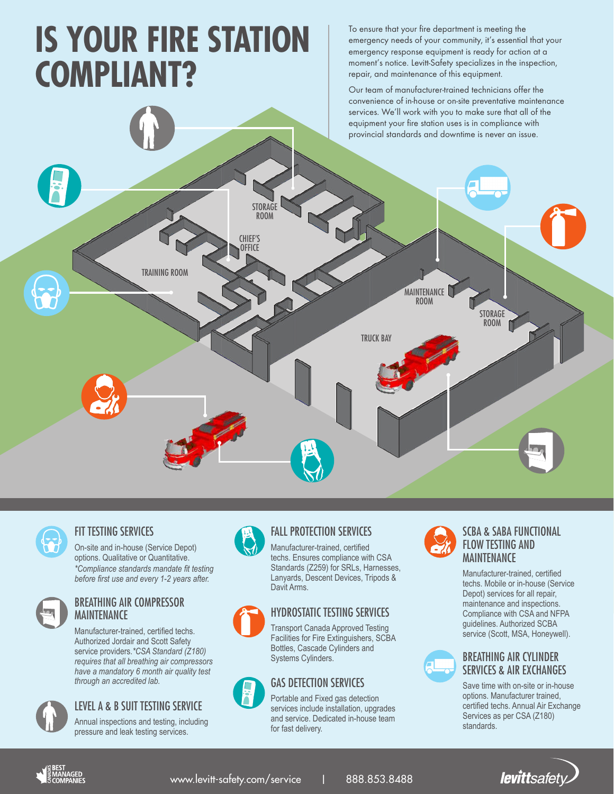# **IS YOUR FIRE STATION COMPLIANT?**

To ensure that your fire department is meeting the emergency needs of your community, it's essential that your emergency response equipment is ready for action at a moment's notice. Levitt-Safety specializes in the inspection, repair, and maintenance of this equipment.

Our team of manufacturer-trained technicians offer the convenience of in-house or on-site preventative maintenance services. We'll work with you to make sure that all of the equipment your fire station uses is in compliance with provincial standards and downtime is never an issue.



#### FIT TESTING SERVICES

On-site and in-house (Service Depot) options. Qualitative or Quantitative. *\*Compliance standards mandate fit testing before first use and every 1-2 years after.*



#### BREATHING AIR COMPRESSOR MAINTENANCE

Manufacturer-trained, certified techs. Authorized Jordair and Scott Safety service providers.*\*CSA Standard (Z180) requires that all breathing air compressors have a mandatory 6 month air quality test through an accredited lab.*



## FALL PROTECTION SERVICES

Manufacturer-trained, certified techs. Ensures compliance with CSA Standards (Z259) for SRLs, Harnesses, Lanyards, Descent Devices, Tripods & Davit Arms.

# HYDROSTATIC TESTING SERVICES

Transport Canada Approved Testing Facilities for Fire Extinguishers, SCBA Bottles, Cascade Cylinders and Systems Cylinders.

# GAS DETECTION SERVICES

Portable and Fixed gas detection services include installation, upgrades and service. Dedicated in-house team for fast delivery.



#### SCBA & SABA FUNCTIONAL FLOW TESTING AND MAINTENANCE

Manufacturer-trained, certified techs. Mobile or in-house (Service Depot) services for all repair, maintenance and inspections. Compliance with CSA and NFPA guidelines. Authorized SCBA service (Scott, MSA, Honeywell).



#### BREATHING AIR CYLINDER SERVICES & AIR EXCHANGES

Save time with on-site or in-house options. Manufacturer trained, certified techs. Annual Air Exchange Services as per CSA (Z180) standards.



### LEVEL A & B SUIT TESTING SERVICE

Annual inspections and testing, including pressure and leak testing services.